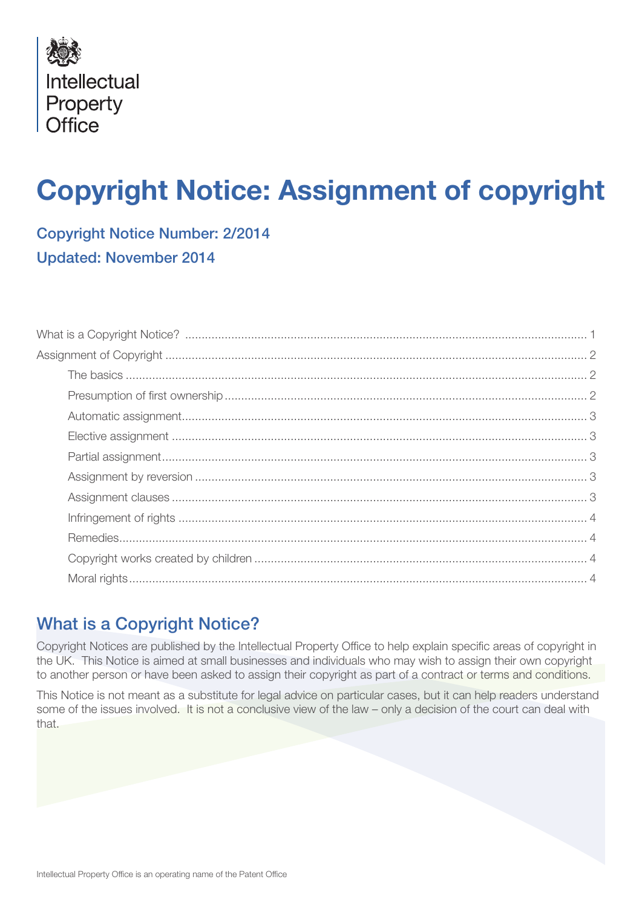

# Copyright Notice: Assignment of copyright

Copyright Notice Number: 2/2014 Updated: November 2014

## What is a Copyright Notice?

Copyright Notices are published by the Intellectual Property Office to help explain specific areas of copyright in the UK. This Notice is aimed at small businesses and individuals who may wish to assign their own copyright to another person or have been asked to assign their copyright as part of a contract or terms and conditions.

This Notice is not meant as a substitute for legal advice on particular cases, but it can help readers understand some of the issues involved. It is not a conclusive view of the law – only a decision of the court can deal with that.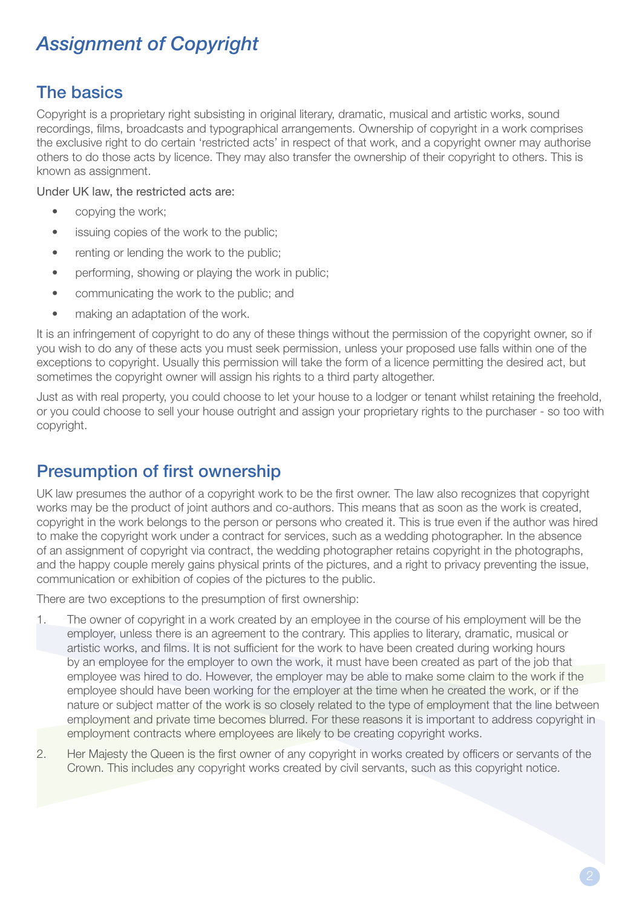## *Assignment of Copyright*

#### The basics

Copyright is a proprietary right subsisting in original literary, dramatic, musical and artistic works, sound recordings, films, broadcasts and typographical arrangements. Ownership of copyright in a work comprises the exclusive right to do certain 'restricted acts' in respect of that work, and a copyright owner may authorise others to do those acts by licence. They may also transfer the ownership of their copyright to others. This is known as assignment.

Under UK law, the restricted acts are:

- copying the work;
- issuing copies of the work to the public:
- renting or lending the work to the public;
- performing, showing or playing the work in public;
- communicating the work to the public; and
- making an adaptation of the work.

It is an infringement of copyright to do any of these things without the permission of the copyright owner, so if you wish to do any of these acts you must seek permission, unless your proposed use falls within one of the exceptions to copyright. Usually this permission will take the form of a licence permitting the desired act, but sometimes the copyright owner will assign his rights to a third party altogether.

Just as with real property, you could choose to let your house to a lodger or tenant whilst retaining the freehold, or you could choose to sell your house outright and assign your proprietary rights to the purchaser - so too with copyright.

## Presumption of first ownership

UK law presumes the author of a copyright work to be the first owner. The law also recognizes that copyright works may be the product of joint authors and co-authors. This means that as soon as the work is created, copyright in the work belongs to the person or persons who created it. This is true even if the author was hired to make the copyright work under a contract for services, such as a wedding photographer. In the absence of an assignment of copyright via contract, the wedding photographer retains copyright in the photographs, and the happy couple merely gains physical prints of the pictures, and a right to privacy preventing the issue, communication or exhibition of copies of the pictures to the public.

There are two exceptions to the presumption of first ownership:

- 1. The owner of copyright in a work created by an employee in the course of his employment will be the employer, unless there is an agreement to the contrary. This applies to literary, dramatic, musical or artistic works, and films. It is not sufficient for the work to have been created during working hours by an employee for the employer to own the work, it must have been created as part of the job that employee was hired to do. However, the employer may be able to make some claim to the work if the employee should have been working for the employer at the time when he created the work, or if the nature or subject matter of the work is so closely related to the type of employment that the line between employment and private time becomes blurred. For these reasons it is important to address copyright in employment contracts where employees are likely to be creating copyright works.
- 2. Her Majesty the Queen is the first owner of any copyright in works created by officers or servants of the Crown. This includes any copyright works created by civil servants, such as this copyright notice.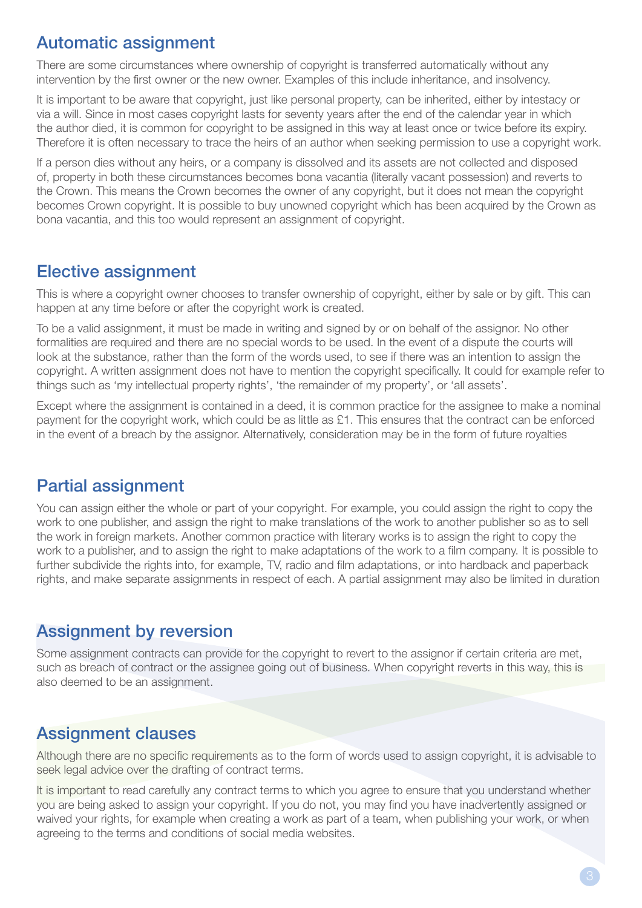## Automatic assignment

There are some circumstances where ownership of copyright is transferred automatically without any intervention by the first owner or the new owner. Examples of this include inheritance, and insolvency.

It is important to be aware that copyright, just like personal property, can be inherited, either by intestacy or via a will. Since in most cases copyright lasts for seventy years after the end of the calendar year in which the author died, it is common for copyright to be assigned in this way at least once or twice before its expiry. Therefore it is often necessary to trace the heirs of an author when seeking permission to use a copyright work.

If a person dies without any heirs, or a company is dissolved and its assets are not collected and disposed of, property in both these circumstances becomes bona vacantia (literally vacant possession) and reverts to the Crown. This means the Crown becomes the owner of any copyright, but it does not mean the copyright becomes Crown copyright. It is possible to buy unowned copyright which has been acquired by the Crown as bona vacantia, and this too would represent an assignment of copyright.

#### Elective assignment

This is where a copyright owner chooses to transfer ownership of copyright, either by sale or by gift. This can happen at any time before or after the copyright work is created.

To be a valid assignment, it must be made in writing and signed by or on behalf of the assignor. No other formalities are required and there are no special words to be used. In the event of a dispute the courts will look at the substance, rather than the form of the words used, to see if there was an intention to assign the copyright. A written assignment does not have to mention the copyright specifically. It could for example refer to things such as 'my intellectual property rights', 'the remainder of my property', or 'all assets'.

Except where the assignment is contained in a deed, it is common practice for the assignee to make a nominal payment for the copyright work, which could be as little as £1. This ensures that the contract can be enforced in the event of a breach by the assignor. Alternatively, consideration may be in the form of future royalties

## Partial assignment

You can assign either the whole or part of your copyright. For example, you could assign the right to copy the work to one publisher, and assign the right to make translations of the work to another publisher so as to sell the work in foreign markets. Another common practice with literary works is to assign the right to copy the work to a publisher, and to assign the right to make adaptations of the work to a film company. It is possible to further subdivide the rights into, for example, TV, radio and film adaptations, or into hardback and paperback rights, and make separate assignments in respect of each. A partial assignment may also be limited in duration

#### Assignment by reversion

Some assignment contracts can provide for the copyright to revert to the assignor if certain criteria are met, such as breach of contract or the assignee going out of business. When copyright reverts in this way, this is also deemed to be an assignment.

## Assignment clauses

Although there are no specific requirements as to the form of words used to assign copyright, it is advisable to seek legal advice over the drafting of contract terms.

It is important to read carefully any contract terms to which you agree to ensure that you understand whether you are being asked to assign your copyright. If you do not, you may find you have inadvertently assigned or waived your rights, for example when creating a work as part of a team, when publishing your work, or when agreeing to the terms and conditions of social media websites.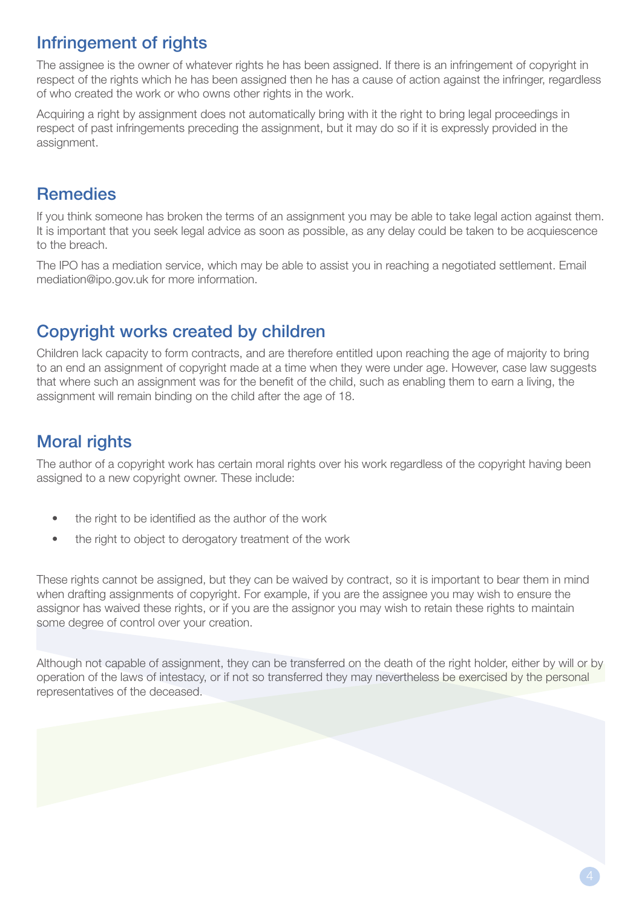## Infringement of rights

The assignee is the owner of whatever rights he has been assigned. If there is an infringement of copyright in respect of the rights which he has been assigned then he has a cause of action against the infringer, regardless of who created the work or who owns other rights in the work.

Acquiring a right by assignment does not automatically bring with it the right to bring legal proceedings in respect of past infringements preceding the assignment, but it may do so if it is expressly provided in the assignment.

## Remedies

If you think someone has broken the terms of an assignment you may be able to take legal action against them. It is important that you seek legal advice as soon as possible, as any delay could be taken to be acquiescence to the breach.

The IPO has a mediation service, which may be able to assist you in reaching a negotiated settlement. Email mediation@ipo.gov.uk for more information.

## Copyright works created by children

Children lack capacity to form contracts, and are therefore entitled upon reaching the age of majority to bring to an end an assignment of copyright made at a time when they were under age. However, case law suggests that where such an assignment was for the benefit of the child, such as enabling them to earn a living, the assignment will remain binding on the child after the age of 18.

## Moral rights

The author of a copyright work has certain moral rights over his work regardless of the copyright having been assigned to a new copyright owner. These include:

- the right to be identified as the author of the work
- the right to object to derogatory treatment of the work

These rights cannot be assigned, but they can be waived by contract, so it is important to bear them in mind when drafting assignments of copyright. For example, if you are the assignee you may wish to ensure the assignor has waived these rights, or if you are the assignor you may wish to retain these rights to maintain some degree of control over your creation.

Although not capable of assignment, they can be transferred on the death of the right holder, either by will or by operation of the laws of intestacy, or if not so transferred they may nevertheless be exercised by the personal representatives of the deceased.